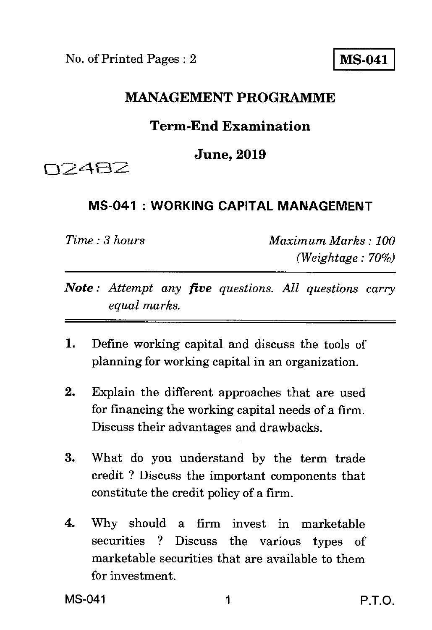No. of Printed Pages : 2 **MS-041** 

## **MANAGEMENT PROGRAMME**

## **Term-End Examination**

## **June, 2019**

**CC2482** 

## **MS-041 : WORKING CAPITAL MANAGEMENT**

*Time : 3 hours Maximum Marks : 100 (Weightage : 70%)* 

- *Note : Attempt any five questions. All questions carry equal marks.*
- 1. Define working capital and discuss the tools of planning for working capital in an organization.
- 2. Explain the different approaches that are used for financing the working capital needs of a firm. Discuss their advantages and drawbacks.
- 3. What do you understand by the term trade credit ? Discuss the important components that constitute the credit policy of a firm.
- 4. Why should a firm invest in marketable securities ? Discuss the various types of marketable securities that are available to them for investment.